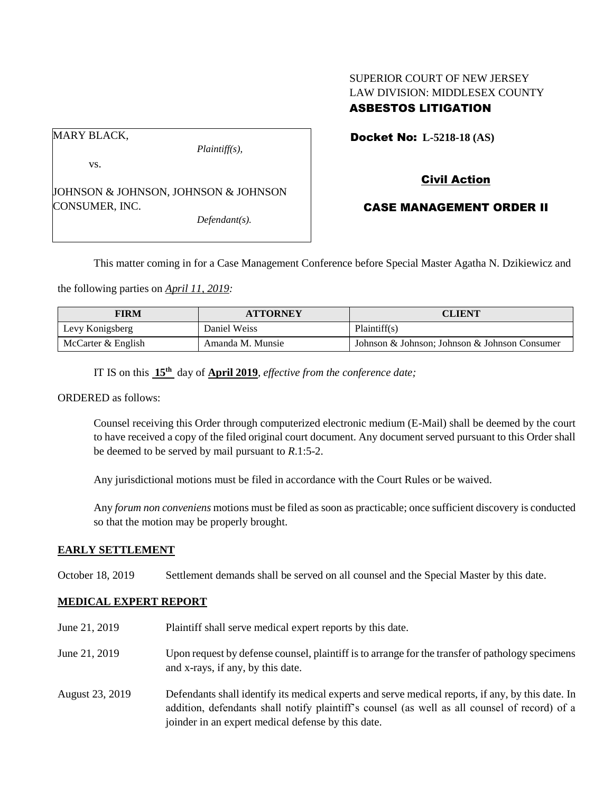## SUPERIOR COURT OF NEW JERSEY LAW DIVISION: MIDDLESEX COUNTY ASBESTOS LITIGATION

MARY BLACK,

vs.

*Plaintiff(s),*

JOHNSON & JOHNSON, JOHNSON & JOHNSON CONSUMER, INC.

*Defendant(s).*

Docket No: **L-5218-18 (AS)** 

# Civil Action

## CASE MANAGEMENT ORDER II

This matter coming in for a Case Management Conference before Special Master Agatha N. Dzikiewicz and

the following parties on *April 11, 2019:*

| <b>FIRM</b>          | <b>ATTORNEY</b>  | CLIENT                                        |
|----------------------|------------------|-----------------------------------------------|
| Levy Konigsberg      | Daniel Weiss     | Plaintiff(s)                                  |
| McCarter $&$ English | Amanda M. Munsie | Johnson & Johnson; Johnson & Johnson Consumer |

IT IS on this  $15<sup>th</sup>$  day of **April 2019**, *effective from the conference date*;

ORDERED as follows:

Counsel receiving this Order through computerized electronic medium (E-Mail) shall be deemed by the court to have received a copy of the filed original court document. Any document served pursuant to this Order shall be deemed to be served by mail pursuant to *R*.1:5-2.

Any jurisdictional motions must be filed in accordance with the Court Rules or be waived.

Any *forum non conveniens* motions must be filed as soon as practicable; once sufficient discovery is conducted so that the motion may be properly brought.

## **EARLY SETTLEMENT**

October 18, 2019 Settlement demands shall be served on all counsel and the Special Master by this date.

## **MEDICAL EXPERT REPORT**

| June 21, 2019   | Plaintiff shall serve medical expert reports by this date.                                                                                                                                                                                               |
|-----------------|----------------------------------------------------------------------------------------------------------------------------------------------------------------------------------------------------------------------------------------------------------|
| June 21, 2019   | Upon request by defense counsel, plaintiff is to arrange for the transfer of pathology specimens<br>and x-rays, if any, by this date.                                                                                                                    |
| August 23, 2019 | Defendants shall identify its medical experts and serve medical reports, if any, by this date. In<br>addition, defendants shall notify plaintiff's counsel (as well as all counsel of record) of a<br>joinder in an expert medical defense by this date. |